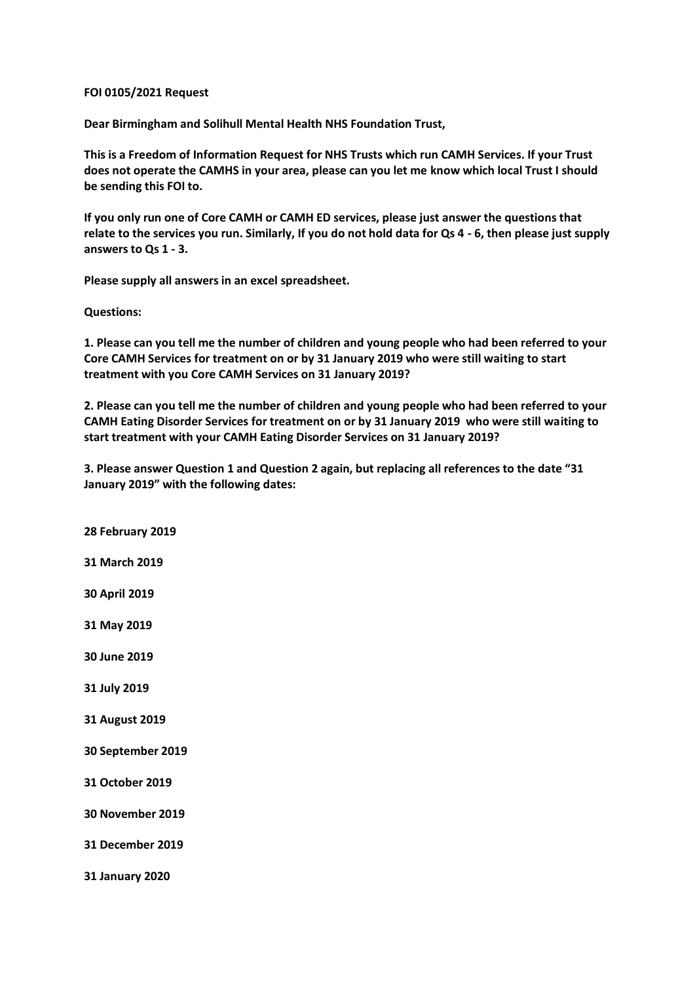## **FOI 0105/2021 Request**

**Dear Birmingham and Solihull Mental Health NHS Foundation Trust,**

**This is a Freedom of Information Request for NHS Trusts which run CAMH Services. If your Trust does not operate the CAMHS in your area, please can you let me know which local Trust I should be sending this FOI to.**

**If you only run one of Core CAMH or CAMH ED services, please just answer the questions that relate to the services you run. Similarly, If you do not hold data for Qs 4 - 6, then please just supply answers to Qs 1 - 3.**

**Please supply all answers in an excel spreadsheet.**

**Questions:**

**1. Please can you tell me the number of children and young people who had been referred to your Core CAMH Services for treatment on or by 31 January 2019 who were still waiting to start treatment with you Core CAMH Services on 31 January 2019?**

**2. Please can you tell me the number of children and young people who had been referred to your CAMH Eating Disorder Services for treatment on or by 31 January 2019 who were still waiting to start treatment with your CAMH Eating Disorder Services on 31 January 2019?**

**3. Please answer Question 1 and Question 2 again, but replacing all references to the date "31 January 2019" with the following dates:**

**31 January 2020**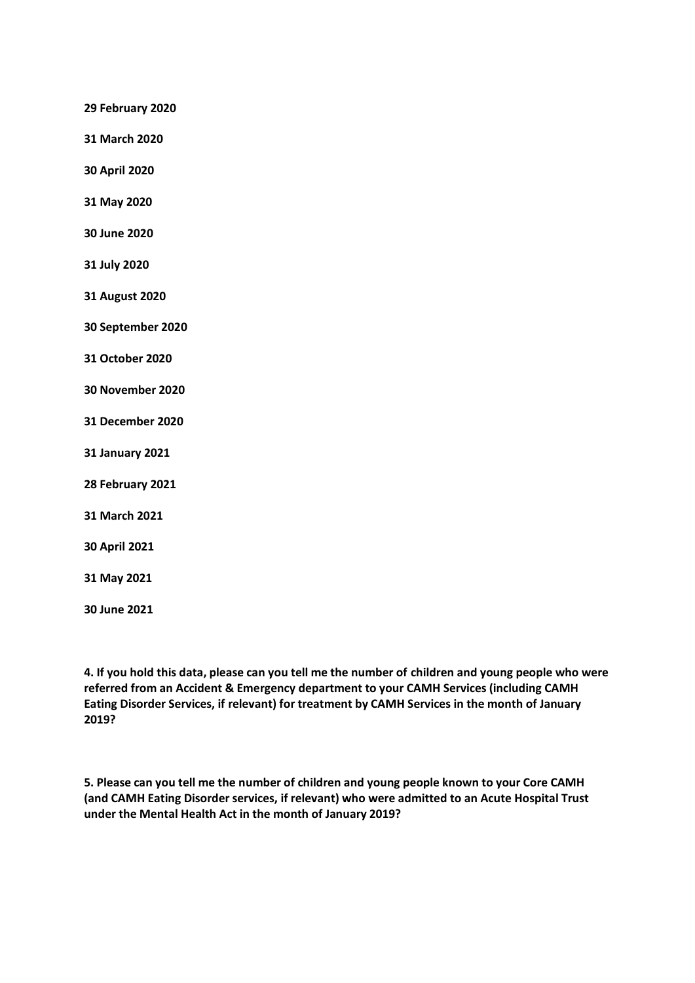**29 February 2020**

**31 March 2020**

**30 April 2020**

**31 May 2020**

**30 June 2020**

**31 July 2020**

**31 August 2020**

**30 September 2020**

**31 October 2020**

**30 November 2020**

**31 December 2020**

**31 January 2021**

**28 February 2021**

**31 March 2021**

**30 April 2021**

**31 May 2021**

**30 June 2021**

**4. If you hold this data, please can you tell me the number of children and young people who were referred from an Accident & Emergency department to your CAMH Services (including CAMH Eating Disorder Services, if relevant) for treatment by CAMH Services in the month of January 2019?**

**5. Please can you tell me the number of children and young people known to your Core CAMH (and CAMH Eating Disorder services, if relevant) who were admitted to an Acute Hospital Trust under the Mental Health Act in the month of January 2019?**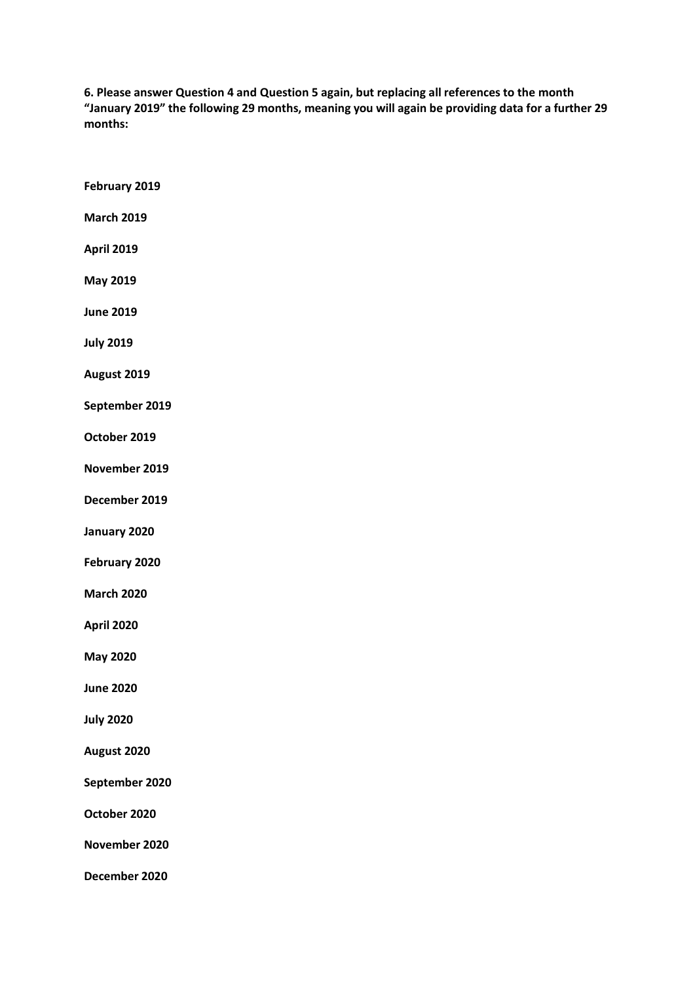**6. Please answer Question 4 and Question 5 again, but replacing all references to the month "January 2019" the following 29 months, meaning you will again be providing data for a further 29 months:**

| February 2019     |
|-------------------|
| <b>March 2019</b> |
| <b>April 2019</b> |
| <b>May 2019</b>   |
| <b>June 2019</b>  |
| <b>July 2019</b>  |
| August 2019       |
| September 2019    |
| October 2019      |
| November 2019     |
| December 2019     |
| January 2020      |
| February 2020     |
| <b>March 2020</b> |
| April 2020        |
| <b>May 2020</b>   |
| <b>June 2020</b>  |
| <b>July 2020</b>  |
| August 2020       |
| September 2020    |
| October 2020      |
| November 2020     |
| December 2020     |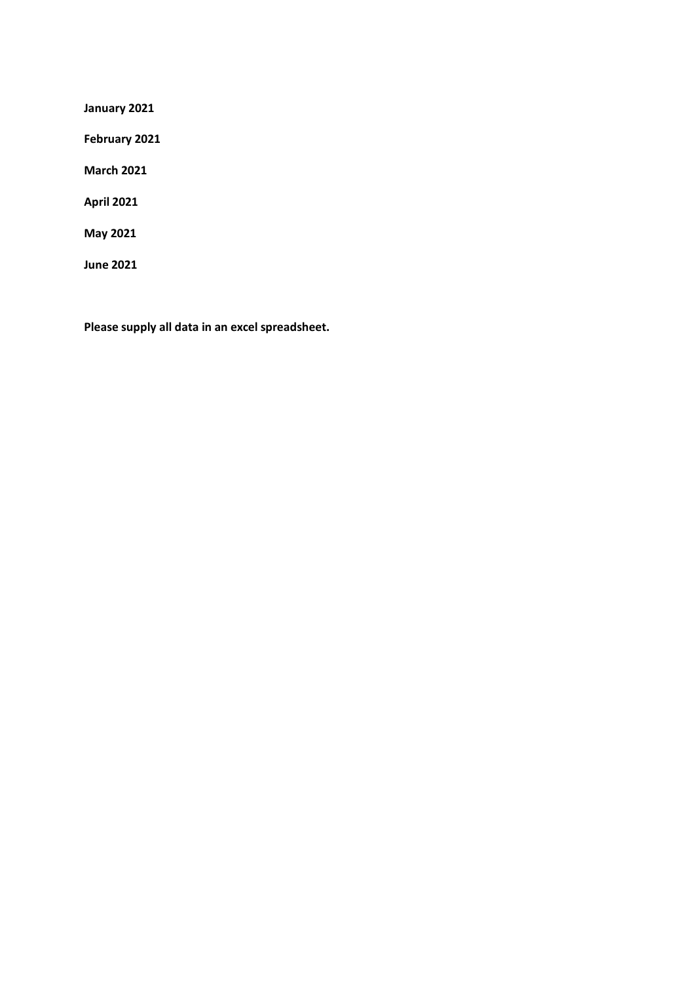**January 2021**

**February 2021**

**March 2021**

**April 2021**

**May 2021**

**June 2021**

**Please supply all data in an excel spreadsheet.**